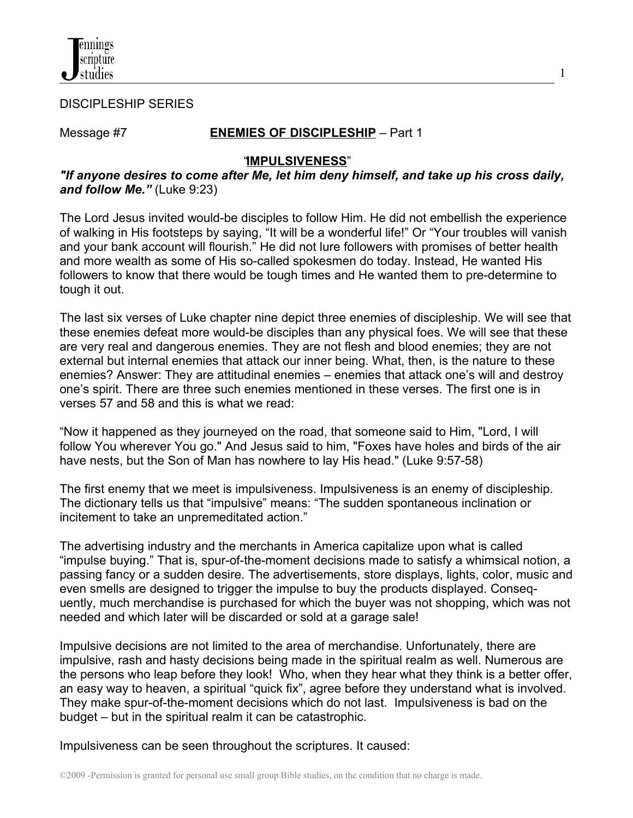

DISCIPLESHIP SERIES

## Message #7 **ENEMIES OF DISCIPLESHIP** – Part 1

1

#### "**IMPULSIVENESS**"

### *"If anyone desires to come after Me, let him deny himself, and take up his cross daily, and follow Me."* (Luke 9:23)

The Lord Jesus invited would-be disciples to follow Him. He did not embellish the experience of walking in His footsteps by saying, "It will be a wonderful life!" Or "Your troubles will vanish and your bank account will flourish." He did not lure followers with promises of better health and more wealth as some of His so-called spokesmen do today. Instead, He wanted His followers to know that there would be tough times and He wanted them to pre-determine to tough it out.

The last six verses of Luke chapter nine depict three enemies of discipleship. We will see that these enemies defeat more would-be disciples than any physical foes. We will see that these are very real and dangerous enemies. They are not flesh and blood enemies; they are not external but internal enemies that attack our inner being. What, then, is the nature to these enemies? Answer: They are attitudinal enemies – enemies that attack one's will and destroy one's spirit. There are three such enemies mentioned in these verses. The first one is in verses 57 and 58 and this is what we read:

"Now it happened as they journeyed on the road, that someone said to Him, "Lord, I will follow You wherever You go." And Jesus said to him, "Foxes have holes and birds of the air have nests, but the Son of Man has nowhere to lay His head." (Luke 9:57-58)

The first enemy that we meet is impulsiveness. Impulsiveness is an enemy of discipleship. The dictionary tells us that "impulsive" means: "The sudden spontaneous inclination or incitement to take an unpremeditated action."

The advertising industry and the merchants in America capitalize upon what is called "impulse buying." That is, spur-of-the-moment decisions made to satisfy a whimsical notion, a passing fancy or a sudden desire. The advertisements, store displays, lights, color, music and even smells are designed to trigger the impulse to buy the products displayed. Consequently, much merchandise is purchased for which the buyer was not shopping, which was not needed and which later will be discarded or sold at a garage sale!

Impulsive decisions are not limited to the area of merchandise. Unfortunately, there are impulsive, rash and hasty decisions being made in the spiritual realm as well. Numerous are the persons who leap before they look! Who, when they hear what they think is a better offer, an easy way to heaven, a spiritual "quick fix", agree before they understand what is involved. They make spur-of-the-moment decisions which do not last. Impulsiveness is bad on the budget – but in the spiritual realm it can be catastrophic.

Impulsiveness can be seen throughout the scriptures. It caused: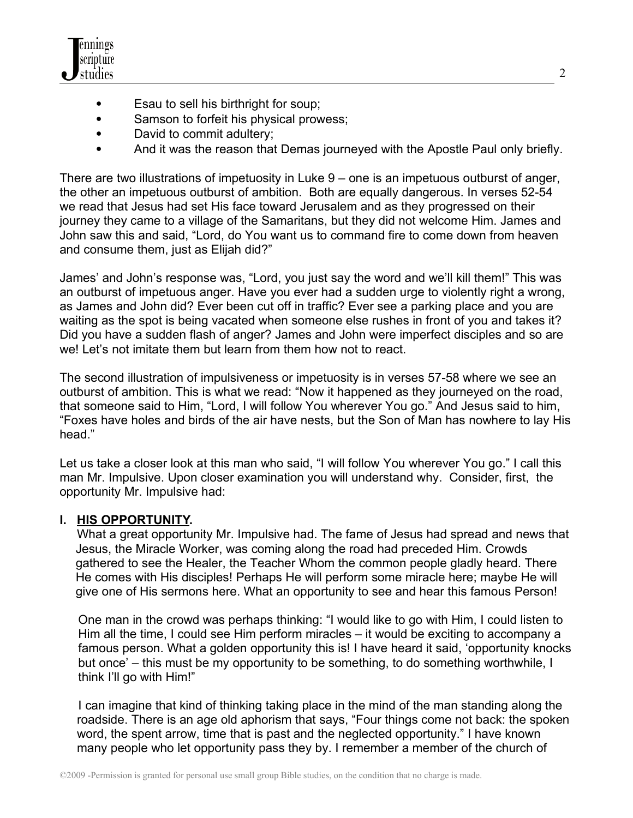

- Esau to sell his birthright for soup;
- Samson to forfeit his physical prowess;
- David to commit adultery;
- And it was the reason that Demas journeyed with the Apostle Paul only briefly.

There are two illustrations of impetuosity in Luke 9 – one is an impetuous outburst of anger, the other an impetuous outburst of ambition. Both are equally dangerous. In verses 52-54 we read that Jesus had set His face toward Jerusalem and as they progressed on their journey they came to a village of the Samaritans, but they did not welcome Him. James and John saw this and said, "Lord, do You want us to command fire to come down from heaven and consume them, just as Elijah did?"

James' and John's response was, "Lord, you just say the word and we'll kill them!" This was an outburst of impetuous anger. Have you ever had a sudden urge to violently right a wrong, as James and John did? Ever been cut off in traffic? Ever see a parking place and you are waiting as the spot is being vacated when someone else rushes in front of you and takes it? Did you have a sudden flash of anger? James and John were imperfect disciples and so are we! Let's not imitate them but learn from them how not to react.

The second illustration of impulsiveness or impetuosity is in verses 57-58 where we see an outburst of ambition. This is what we read: "Now it happened as they journeyed on the road, that someone said to Him, "Lord, I will follow You wherever You go." And Jesus said to him, "Foxes have holes and birds of the air have nests, but the Son of Man has nowhere to lay His head."

Let us take a closer look at this man who said, "I will follow You wherever You go." I call this man Mr. Impulsive. Upon closer examination you will understand why. Consider, first, the opportunity Mr. Impulsive had:

# **I. HIS OPPORTUNITY.**

 What a great opportunity Mr. Impulsive had. The fame of Jesus had spread and news that Jesus, the Miracle Worker, was coming along the road had preceded Him. Crowds gathered to see the Healer, the Teacher Whom the common people gladly heard. There He comes with His disciples! Perhaps He will perform some miracle here; maybe He will give one of His sermons here. What an opportunity to see and hear this famous Person!

 One man in the crowd was perhaps thinking: "I would like to go with Him, I could listen to Him all the time, I could see Him perform miracles – it would be exciting to accompany a famous person. What a golden opportunity this is! I have heard it said, 'opportunity knocks but once' – this must be my opportunity to be something, to do something worthwhile, I think I'll go with Him!"

 I can imagine that kind of thinking taking place in the mind of the man standing along the roadside. There is an age old aphorism that says, "Four things come not back: the spoken word, the spent arrow, time that is past and the neglected opportunity." I have known many people who let opportunity pass they by. I remember a member of the church of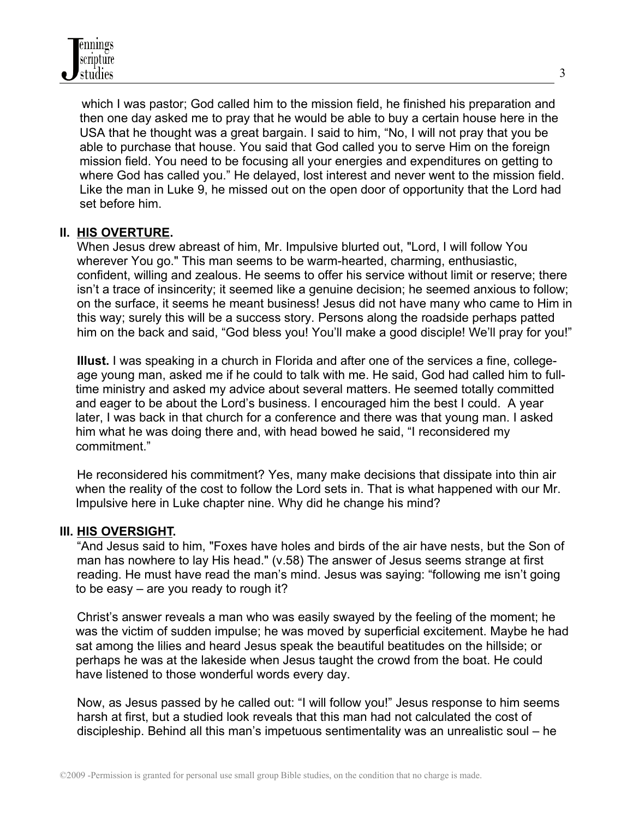which I was pastor; God called him to the mission field, he finished his preparation and then one day asked me to pray that he would be able to buy a certain house here in the USA that he thought was a great bargain. I said to him, "No, I will not pray that you be able to purchase that house. You said that God called you to serve Him on the foreign mission field. You need to be focusing all your energies and expenditures on getting to where God has called you." He delayed, lost interest and never went to the mission field. Like the man in Luke 9, he missed out on the open door of opportunity that the Lord had set before him.

### **II. HIS OVERTURE.**

 When Jesus drew abreast of him, Mr. Impulsive blurted out, "Lord, I will follow You wherever You go." This man seems to be warm-hearted, charming, enthusiastic, confident, willing and zealous. He seems to offer his service without limit or reserve; there isn't a trace of insincerity; it seemed like a genuine decision; he seemed anxious to follow; on the surface, it seems he meant business! Jesus did not have many who came to Him in this way; surely this will be a success story. Persons along the roadside perhaps patted him on the back and said, "God bless you! You'll make a good disciple! We'll pray for you!"

 **Illust.** I was speaking in a church in Florida and after one of the services a fine, college age young man, asked me if he could to talk with me. He said, God had called him to fulltime ministry and asked my advice about several matters. He seemed totally committed and eager to be about the Lord's business. I encouraged him the best I could. A year later, I was back in that church for a conference and there was that young man. I asked him what he was doing there and, with head bowed he said, "I reconsidered my commitment."

 He reconsidered his commitment? Yes, many make decisions that dissipate into thin air when the reality of the cost to follow the Lord sets in. That is what happened with our Mr. Impulsive here in Luke chapter nine. Why did he change his mind?

### **III. HIS OVERSIGHT.**

 "And Jesus said to him, "Foxes have holes and birds of the air have nests, but the Son of man has nowhere to lay His head." (v.58) The answer of Jesus seems strange at first reading. He must have read the man's mind. Jesus was saying: "following me isn't going to be easy – are you ready to rough it?

 Christ's answer reveals a man who was easily swayed by the feeling of the moment; he was the victim of sudden impulse; he was moved by superficial excitement. Maybe he had sat among the lilies and heard Jesus speak the beautiful beatitudes on the hillside; or perhaps he was at the lakeside when Jesus taught the crowd from the boat. He could have listened to those wonderful words every day.

 Now, as Jesus passed by he called out: "I will follow you!" Jesus response to him seems harsh at first, but a studied look reveals that this man had not calculated the cost of discipleship. Behind all this man's impetuous sentimentality was an unrealistic soul – he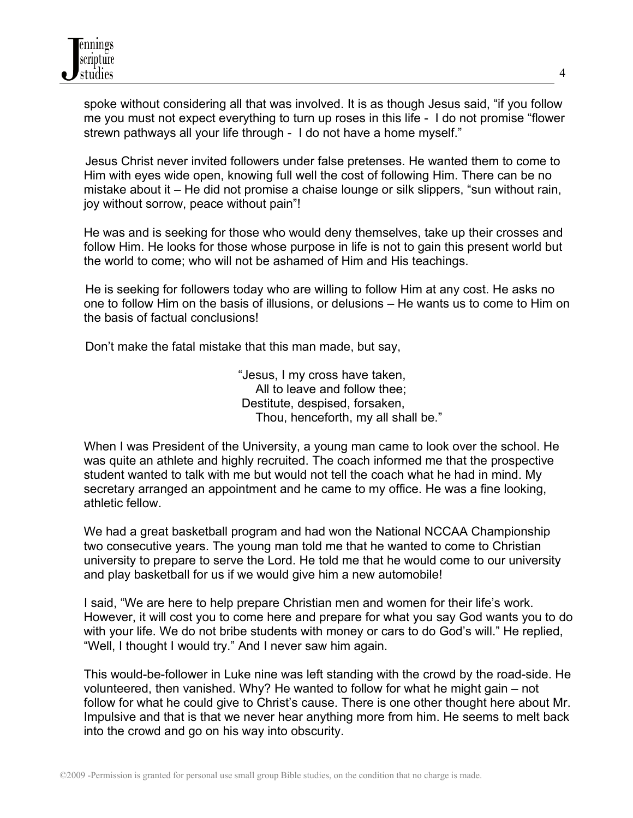spoke without considering all that was involved. It is as though Jesus said, "if you follow me you must not expect everything to turn up roses in this life - I do not promise "flower strewn pathways all your life through - I do not have a home myself."

 Jesus Christ never invited followers under false pretenses. He wanted them to come to Him with eyes wide open, knowing full well the cost of following Him. There can be no mistake about it – He did not promise a chaise lounge or silk slippers, "sun without rain, joy without sorrow, peace without pain"!

He was and is seeking for those who would deny themselves, take up their crosses and follow Him. He looks for those whose purpose in life is not to gain this present world but the world to come; who will not be ashamed of Him and His teachings.

 He is seeking for followers today who are willing to follow Him at any cost. He asks no one to follow Him on the basis of illusions, or delusions – He wants us to come to Him on the basis of factual conclusions!

Don't make the fatal mistake that this man made, but say,

 "Jesus, I my cross have taken, All to leave and follow thee; Destitute, despised, forsaken, Thou, henceforth, my all shall be."

 When I was President of the University, a young man came to look over the school. He was quite an athlete and highly recruited. The coach informed me that the prospective student wanted to talk with me but would not tell the coach what he had in mind. My secretary arranged an appointment and he came to my office. He was a fine looking, athletic fellow.

We had a great basketball program and had won the National NCCAA Championship two consecutive years. The young man told me that he wanted to come to Christian university to prepare to serve the Lord. He told me that he would come to our university and play basketball for us if we would give him a new automobile!

 I said, "We are here to help prepare Christian men and women for their life's work. However, it will cost you to come here and prepare for what you say God wants you to do with your life. We do not bribe students with money or cars to do God's will." He replied, "Well, I thought I would try." And I never saw him again.

This would-be-follower in Luke nine was left standing with the crowd by the road-side. He volunteered, then vanished. Why? He wanted to follow for what he might gain – not follow for what he could give to Christ's cause. There is one other thought here about Mr. Impulsive and that is that we never hear anything more from him. He seems to melt back into the crowd and go on his way into obscurity.